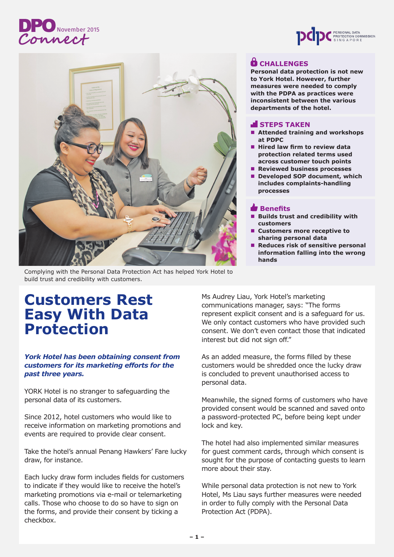# **DPO** November 2015





### **CHALLENGES**

**Personal data protection is not new to York Hotel. However, further measures were needed to comply with the PDPA as practices were inconsistent between the various departments of the hotel.**

### **STEPS TAKEN**

- Attended training and workshops **at PDPC**
- $\blacksquare$  **Hired law firm to review data protection related terms used across customer touch points**
- Reviewed business processes
- Developed SOP document, which **includes complaints-handling processes**

### **Benefits**

- n **Builds trust and credibility with customers**
- Customers more receptive to **sharing personal data**
- n **Reduces risk of sensitive personal information falling into the wrong hands**

Complying with the Personal Data Protection Act has helped York Hotel to build trust and credibility with customers.

## **Customers Rest Easy With Data Protection**

### *York Hotel has been obtaining consent from customers for its marketing efforts for the past three years.*

YORK Hotel is no stranger to safeguarding the personal data of its customers.

Since 2012, hotel customers who would like to receive information on marketing promotions and events are required to provide clear consent.

Take the hotel's annual Penang Hawkers' Fare lucky draw, for instance.

Each lucky draw form includes fields for customers to indicate if they would like to receive the hotel's marketing promotions via e-mail or telemarketing calls. Those who choose to do so have to sign on the forms, and provide their consent by ticking a checkbox.

Ms Audrey Liau, York Hotel's marketing communications manager, says: "The forms represent explicit consent and is a safeguard for us. We only contact customers who have provided such consent. We don't even contact those that indicated interest but did not sign off."

As an added measure, the forms filled by these customers would be shredded once the lucky draw is concluded to prevent unauthorised access to personal data.

Meanwhile, the signed forms of customers who have provided consent would be scanned and saved onto a password-protected PC, before being kept under lock and key.

The hotel had also implemented similar measures for guest comment cards, through which consent is sought for the purpose of contacting guests to learn more about their stay.

While personal data protection is not new to York Hotel, Ms Liau says further measures were needed in order to fully comply with the Personal Data Protection Act (PDPA).